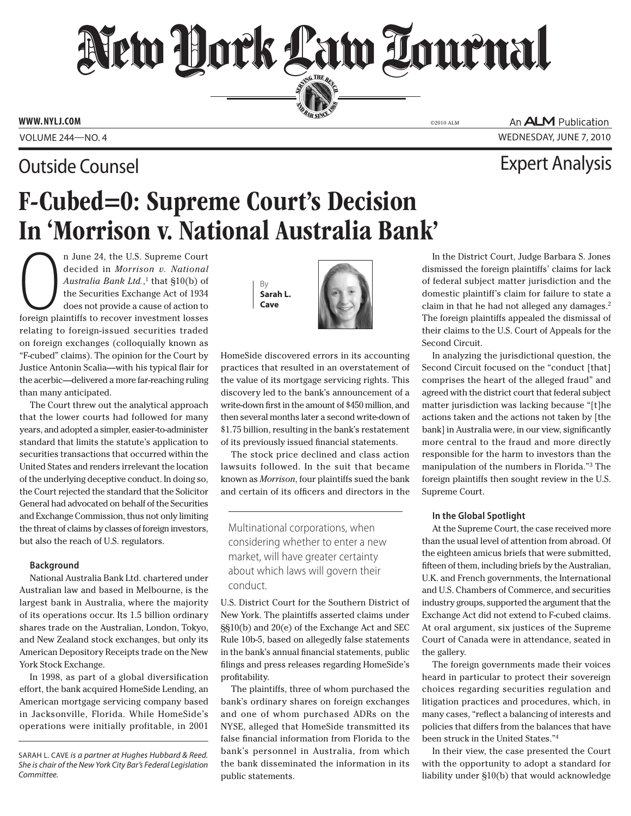SERVING THE BEN

**AND BAR SINCE 1888** 

**www.nylj.com** ©2010 ALM

## Outside Counsel Expert Analysis

An **ALM** Publication Volume 244—NO. 4 wednesday, June 7, 2010

# F-Cubed=0: Supreme Court's Decision In 'Morrison v. National Australia Bank'

n June 24, the U.S. Supreme Court<br>decided in *Morrison v. National*<br>*Australia Bank Ltd.*,<sup>1</sup> that §10(b) of<br>the Securities Exchange Act of 1934<br>does not provide a cause of action to<br>foreign plaintiffs to recover investme n June 24, the U.S. Supreme Court decided in *Morrison v. National Australia Bank Ltd.*, 1 that §10(b) of the Securities Exchange Act of 1934 does not provide a cause of action to relating to foreign-issued securities traded on foreign exchanges (colloquially known as "F-cubed" claims). The opinion for the Court by Justice Antonin Scalia—with his typical flair for the acerbic—delivered a more far-reaching ruling than many anticipated.

The Court threw out the analytical approach that the lower courts had followed for many years, and adopted a simpler, easier-to-administer standard that limits the statute's application to securities transactions that occurred within the United States and renders irrelevant the location of the underlying deceptive conduct. In doing so, the Court rejected the standard that the Solicitor General had advocated on behalf of the Securities and Exchange Commission, thus not only limiting the threat of claims by classes of foreign investors, but also the reach of U.S. regulators.

## **Background**

National Australia Bank Ltd. chartered under Australian law and based in Melbourne, is the largest bank in Australia, where the majority of its operations occur. Its 1.5 billion ordinary shares trade on the Australian, London, Tokyo, and New Zealand stock exchanges, but only its American Depository Receipts trade on the New York Stock Exchange.

In 1998, as part of a global diversification effort, the bank acquired HomeSide Lending, an American mortgage servicing company based in Jacksonville, Florida. While HomeSide's operations were initially profitable, in 2001

Sarah L. Cave *is a partner at Hughes Hubbard & Reed. She is chair of the New York City Bar's Federal Legislation Committee.*





HomeSide discovered errors in its accounting practices that resulted in an overstatement of the value of its mortgage servicing rights. This discovery led to the bank's announcement of a write-down first in the amount of \$450 million, and then several months later a second write-down of \$1.75 billion, resulting in the bank's restatement of its previously issued financial statements.

The stock price declined and class action lawsuits followed. In the suit that became known as *Morrison*, four plaintiffs sued the bank and certain of its officers and directors in the

Multinational corporations, when considering whether to enter a new market, will have greater certainty about which laws will govern their conduct.

U.S. District Court for the Southern District of New York. The plaintiffs asserted claims under §§10(b) and 20(e) of the Exchange Act and SEC Rule 10b-5, based on allegedly false statements in the bank's annual financial statements, public filings and press releases regarding HomeSide's profitability.

The plaintiffs, three of whom purchased the bank's ordinary shares on foreign exchanges and one of whom purchased ADRs on the NYSE, alleged that HomeSide transmitted its false financial information from Florida to the bank's personnel in Australia, from which the bank disseminated the information in its public statements.

In the District Court, Judge Barbara S. Jones dismissed the foreign plaintiffs' claims for lack of federal subject matter jurisdiction and the domestic plaintiff's claim for failure to state a claim in that he had not alleged any damages.<sup>2</sup> The foreign plaintiffs appealed the dismissal of their claims to the U.S. Court of Appeals for the Second Circuit.

In analyzing the jurisdictional question, the Second Circuit focused on the "conduct [that] comprises the heart of the alleged fraud" and agreed with the district court that federal subject matter jurisdiction was lacking because "[t]he actions taken and the actions not taken by [the bank] in Australia were, in our view, significantly more central to the fraud and more directly responsible for the harm to investors than the manipulation of the numbers in Florida."3 The foreign plaintiffs then sought review in the U.S. Supreme Court.

#### **In the Global Spotlight**

At the Supreme Court, the case received more than the usual level of attention from abroad. Of the eighteen amicus briefs that were submitted, fifteen of them, including briefs by the Australian, U.K. and French governments, the International and U.S. Chambers of Commerce, and securities industry groups, supported the argument that the Exchange Act did not extend to F-cubed claims. At oral argument, six justices of the Supreme Court of Canada were in attendance, seated in the gallery.

The foreign governments made their voices heard in particular to protect their sovereign choices regarding securities regulation and litigation practices and procedures, which, in many cases, "reflect a balancing of interests and policies that differs from the balances that have been struck in the United States."4

In their view, the case presented the Court with the opportunity to adopt a standard for liability under §10(b) that would acknowledge